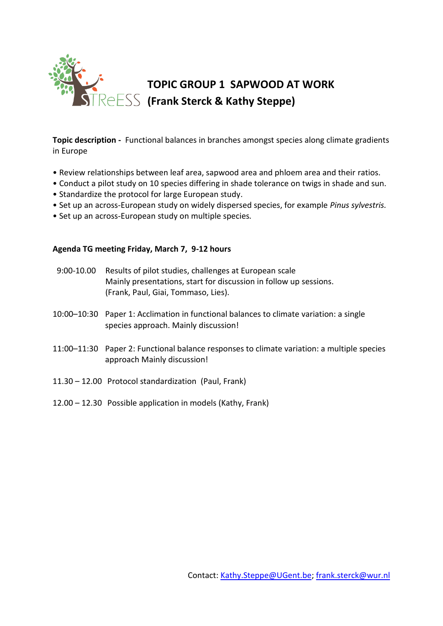

**Topic description -** Functional balances in branches amongst species along climate gradients in Europe

- Review relationships between leaf area, sapwood area and phloem area and their ratios.
- Conduct a pilot study on 10 species differing in shade tolerance on twigs in shade and sun.
- Standardize the protocol for large European study.
- Set up an across-European study on widely dispersed species, for example *Pinus sylvestris.*
- Set up an across-European study on multiple species*.*

### **Agenda TG meeting Friday, March 7, 9-12 hours**

| $9:00 - 10.00$ | Results of pilot studies, challenges at European scale<br>Mainly presentations, start for discussion in follow up sessions.<br>(Frank, Paul, Giai, Tommaso, Lies). |
|----------------|--------------------------------------------------------------------------------------------------------------------------------------------------------------------|
|                | 10:00-10:30 Paper 1: Acclimation in functional balances to climate variation: a single<br>species approach. Mainly discussion!                                     |
|                | 11:00-11:30 Paper 2: Functional balance responses to climate variation: a multiple species<br>approach Mainly discussion!                                          |
|                | 11.30 - 12.00 Protocol standardization (Paul, Frank)                                                                                                               |
|                | 12.00 – 12.30 Possible application in models (Kathy, Frank)                                                                                                        |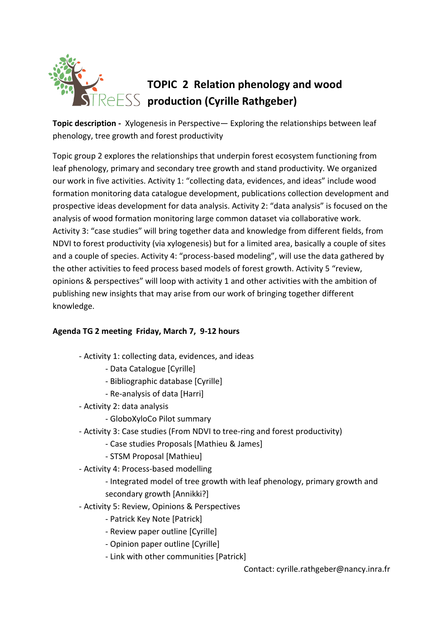

**Topic description -** Xylogenesis in Perspective— Exploring the relationships between leaf phenology, tree growth and forest productivity

Topic group 2 explores the relationships that underpin forest ecosystem functioning from leaf phenology, primary and secondary tree growth and stand productivity. We organized our work in five activities. Activity 1: "collecting data, evidences, and ideas" include wood formation monitoring data catalogue development, publications collection development and prospective ideas development for data analysis. Activity 2: "data analysis" is focused on the analysis of wood formation monitoring large common dataset via collaborative work. Activity 3: "case studies" will bring together data and knowledge from different fields, from NDVI to forest productivity (via xylogenesis) but for a limited area, basically a couple of sites and a couple of species. Activity 4: "process-based modeling", will use the data gathered by the other activities to feed process based models of forest growth. Activity 5 "review, opinions & perspectives" will loop with activity 1 and other activities with the ambition of publishing new insights that may arise from our work of bringing together different knowledge.

### **Agenda TG 2 meeting Friday, March 7, 9-12 hours**

- Activity 1: collecting data, evidences, and ideas
	- Data Catalogue [Cyrille]
	- Bibliographic database [Cyrille]
	- Re-analysis of data [Harri]
- Activity 2: data analysis
	- GloboXyloCo Pilot summary
- Activity 3: Case studies (From NDVI to tree-ring and forest productivity)
	- Case studies Proposals [Mathieu & James]
	- STSM Proposal [Mathieu]
- Activity 4: Process-based modelling
	- Integrated model of tree growth with leaf phenology, primary growth and secondary growth [Annikki?]
- Activity 5: Review, Opinions & Perspectives
	- Patrick Key Note [Patrick]
	- Review paper outline [Cyrille]
	- Opinion paper outline [Cyrille]
	- Link with other communities [Patrick]

Contact: cyrille.rathgeber@nancy.inra.fr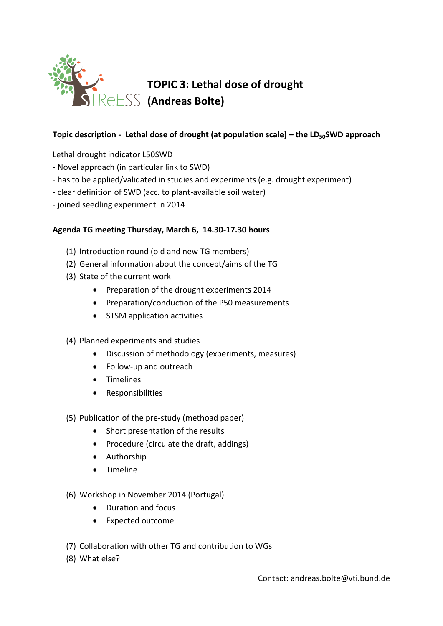

### **Topic description - Lethal dose of drought (at population scale) – the LD50SWD approach**

Lethal drought indicator L50SWD

- Novel approach (in particular link to SWD)
- has to be applied/validated in studies and experiments (e.g. drought experiment)
- clear definition of SWD (acc. to plant-available soil water)
- joined seedling experiment in 2014

### **Agenda TG meeting Thursday, March 6, 14.30-17.30 hours**

- (1) Introduction round (old and new TG members)
- (2) General information about the concept/aims of the TG
- (3) State of the current work
	- Preparation of the drought experiments 2014
	- Preparation/conduction of the P50 measurements
	- STSM application activities
- (4) Planned experiments and studies
	- Discussion of methodology (experiments, measures)
	- Follow-up and outreach
	- **•** Timelines
	- Responsibilities
- (5) Publication of the pre-study (methoad paper)
	- Short presentation of the results
	- Procedure (circulate the draft, addings)
	- Authorship
	- **•** Timeline
- (6) Workshop in November 2014 (Portugal)
	- Duration and focus
	- Expected outcome
- (7) Collaboration with other TG and contribution to WGs
- (8) What else?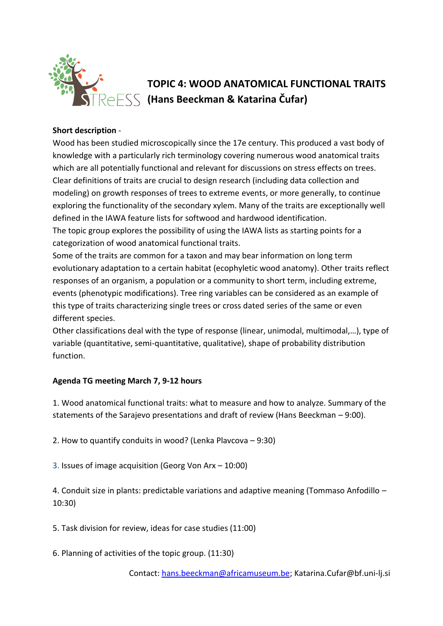

### **TOPIC 4: WOOD ANATOMICAL FUNCTIONAL TRAITS (Hans Beeckman & Katarina Čufar)**

### **Short description** -

Wood has been studied microscopically since the 17e century. This produced a vast body of knowledge with a particularly rich terminology covering numerous wood anatomical traits which are all potentially functional and relevant for discussions on stress effects on trees. Clear definitions of traits are crucial to design research (including data collection and modeling) on growth responses of trees to extreme events, or more generally, to continue exploring the functionality of the secondary xylem. Many of the traits are exceptionally well defined in the IAWA feature lists for softwood and hardwood identification. The topic group explores the possibility of using the IAWA lists as starting points for a categorization of wood anatomical functional traits.

Some of the traits are common for a taxon and may bear information on long term evolutionary adaptation to a certain habitat (ecophyletic wood anatomy). Other traits reflect responses of an organism, a population or a community to short term, including extreme, events (phenotypic modifications). Tree ring variables can be considered as an example of this type of traits characterizing single trees or cross dated series of the same or even different species.

Other classifications deal with the type of response (linear, unimodal, multimodal,…), type of variable (quantitative, semi-quantitative, qualitative), shape of probability distribution function.

### **Agenda TG meeting March 7, 9-12 hours**

1. Wood anatomical functional traits: what to measure and how to analyze. Summary of the statements of the Sarajevo presentations and draft of review (Hans Beeckman – 9:00).

2. How to quantify conduits in wood? (Lenka Plavcova – 9:30)

3. Issues of image acquisition (Georg Von Arx – 10:00)

4. Conduit size in plants: predictable variations and adaptive meaning (Tommaso Anfodillo – 10:30)

5. Task division for review, ideas for case studies (11:00)

6. Planning of activities of the topic group. (11:30)

Contact: [hans.beeckman@africamuseum.be;](mailto:hans.beeckman@africamuseum.be) Katarina.Cufar@bf.uni-lj.si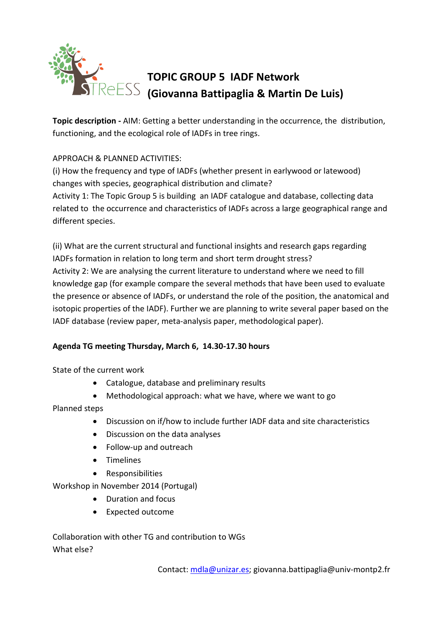

## **TOPIC GROUP 5 IADF Network (Giovanna Battipaglia & Martin De Luis)**

**Topic description -** AIM: Getting a better understanding in the occurrence, the distribution, functioning, and the ecological role of IADFs in tree rings.

### APPROACH & PLANNED ACTIVITIES:

(i) How the frequency and type of IADFs (whether present in earlywood or latewood) changes with species, geographical distribution and climate? Activity 1: The Topic Group 5 is building an IADF catalogue and database, collecting data related to the occurrence and characteristics of IADFs across a large geographical range and different species.

(ii) What are the current structural and functional insights and research gaps regarding IADFs formation in relation to long term and short term drought stress? Activity 2: We are analysing the current literature to understand where we need to fill knowledge gap (for example compare the several methods that have been used to evaluate the presence or absence of IADFs, or understand the role of the position, the anatomical and isotopic properties of the IADF). Further we are planning to write several paper based on the IADF database (review paper, meta-analysis paper, methodological paper).

### **Agenda TG meeting Thursday, March 6, 14.30-17.30 hours**

State of the current work

- Catalogue, database and preliminary results
- Methodological approach: what we have, where we want to go

Planned steps

- Discussion on if/how to include further IADF data and site characteristics
- Discussion on the data analyses
- Follow-up and outreach
- Timelines
- Responsibilities

Workshop in November 2014 (Portugal)

- Duration and focus
- Expected outcome

Collaboration with other TG and contribution to WGs What else?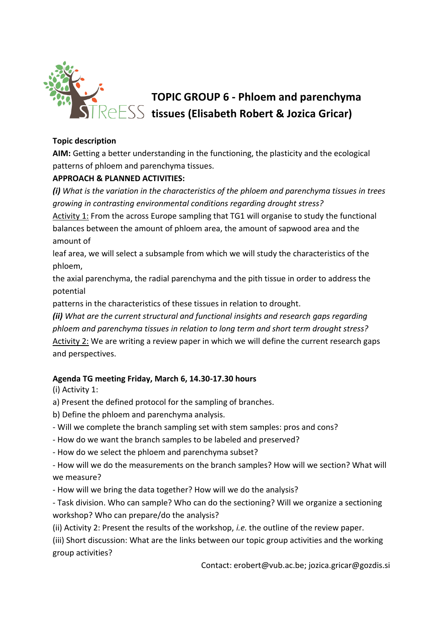

# **TOPIC GROUP 6 - Phloem and parenchyma tissues (Elisabeth Robert & Jozica Gricar)**

### **Topic description**

**AIM:** Getting a better understanding in the functioning, the plasticity and the ecological patterns of phloem and parenchyma tissues.

### **APPROACH & PLANNED ACTIVITIES:**

*(i) What is the variation in the characteristics of the phloem and parenchyma tissues in trees growing in contrasting environmental conditions regarding drought stress?*

Activity 1: From the across Europe sampling that TG1 will organise to study the functional balances between the amount of phloem area, the amount of sapwood area and the amount of

leaf area, we will select a subsample from which we will study the characteristics of the phloem,

the axial parenchyma, the radial parenchyma and the pith tissue in order to address the potential

patterns in the characteristics of these tissues in relation to drought.

*(ii) What are the current structural and functional insights and research gaps regarding phloem and parenchyma tissues in relation to long term and short term drought stress?* Activity 2: We are writing a review paper in which we will define the current research gaps and perspectives.

### **Agenda TG meeting Friday, March 6, 14.30-17.30 hours**

(i) Activity 1:

- a) Present the defined protocol for the sampling of branches.
- b) Define the phloem and parenchyma analysis.
- Will we complete the branch sampling set with stem samples: pros and cons?
- How do we want the branch samples to be labeled and preserved?
- How do we select the phloem and parenchyma subset?

- How will we do the measurements on the branch samples? How will we section? What will we measure?

- How will we bring the data together? How will we do the analysis?

- Task division. Who can sample? Who can do the sectioning? Will we organize a sectioning workshop? Who can prepare/do the analysis?

(ii) Activity 2: Present the results of the workshop, *i.e.* the outline of the review paper.

(iii) Short discussion: What are the links between our topic group activities and the working group activities?

Contact: erobert@vub.ac.be; jozica.gricar@gozdis.si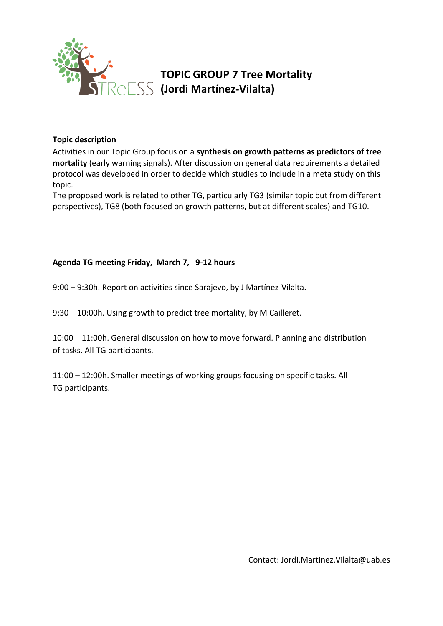

### **TOPIC GROUP 7 Tree Mortality (Jordi Martínez-Vilalta)**

### **Topic description**

Activities in our Topic Group focus on a **synthesis on growth patterns as predictors of tree mortality** (early warning signals). After discussion on general data requirements a detailed protocol was developed in order to decide which studies to include in a meta study on this topic.

The proposed work is related to other TG, particularly TG3 (similar topic but from different perspectives), TG8 (both focused on growth patterns, but at different scales) and TG10.

### **Agenda TG meeting Friday, March 7, 9-12 hours**

9:00 – 9:30h. Report on activities since Sarajevo, by J Martínez-Vilalta.

9:30 – 10:00h. Using growth to predict tree mortality, by M Cailleret.

10:00 – 11:00h. General discussion on how to move forward. Planning and distribution of tasks. All TG participants.

11:00 – 12:00h. Smaller meetings of working groups focusing on specific tasks. All TG participants.

Contact: Jordi.Martinez.Vilalta@uab.es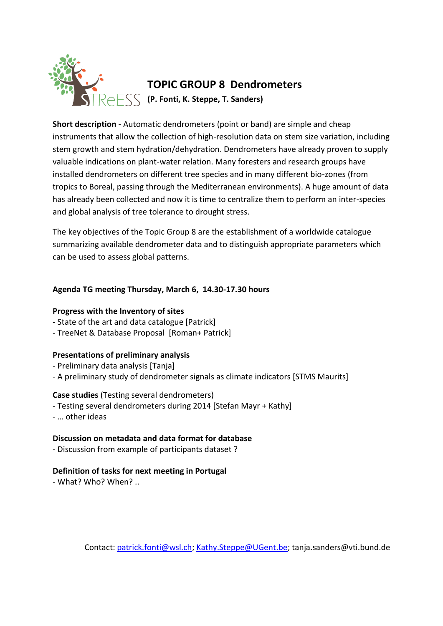

**Short description** - Automatic dendrometers (point or band) are simple and cheap instruments that allow the collection of high-resolution data on stem size variation, including stem growth and stem hydration/dehydration. Dendrometers have already proven to supply valuable indications on plant-water relation. Many foresters and research groups have installed dendrometers on different tree species and in many different bio-zones (from tropics to Boreal, passing through the Mediterranean environments). A huge amount of data has already been collected and now it is time to centralize them to perform an inter-species and global analysis of tree tolerance to drought stress.

The key objectives of the Topic Group 8 are the establishment of a worldwide catalogue summarizing available dendrometer data and to distinguish appropriate parameters which can be used to assess global patterns.

### **Agenda TG meeting Thursday, March 6, 14.30-17.30 hours**

### **Progress with the Inventory of sites**

- State of the art and data catalogue [Patrick]
- TreeNet & Database Proposal [Roman+ Patrick]

### **Presentations of preliminary analysis**

- Preliminary data analysis [Tanja]
- A preliminary study of dendrometer signals as climate indicators [STMS Maurits]

### **Case studies** (Testing several dendrometers)

- Testing several dendrometers during 2014 [Stefan Mayr + Kathy]
- … other ideas

### **Discussion on metadata and data format for database**

- Discussion from example of participants dataset ?

### **Definition of tasks for next meeting in Portugal**

- What? Who? When? ..

Contact: [patrick.fonti@wsl.ch;](mailto:patrick.fonti@wsl.ch) [Kathy.Steppe@UGent.be;](mailto:Kathy.Steppe@UGent.be) tanja.sanders@vti.bund.de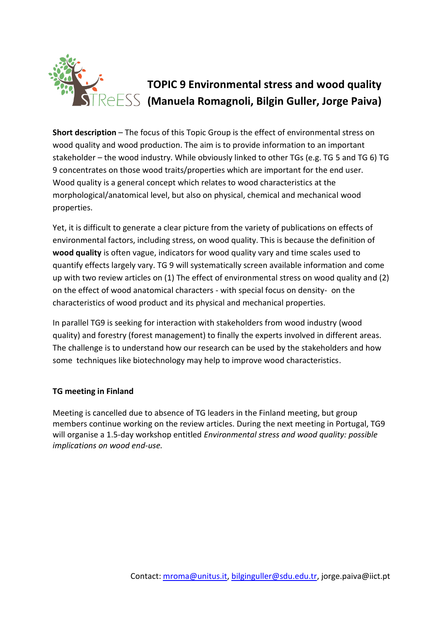

**Short description** – The focus of this Topic Group is the effect of environmental stress on wood quality and wood production. The aim is to provide information to an important stakeholder – the wood industry. While obviously linked to other TGs (e.g. TG 5 and TG 6) TG 9 concentrates on those wood traits/properties which are important for the end user. Wood quality is a general concept which relates to wood characteristics at the morphological/anatomical level, but also on physical, chemical and mechanical wood properties.

Yet, it is difficult to generate a clear picture from the variety of publications on effects of environmental factors, including stress, on wood quality. This is because the definition of **wood quality** is often vague, indicators for wood quality vary and time scales used to quantify effects largely vary. TG 9 will systematically screen available information and come up with two review articles on (1) The effect of environmental stress on wood quality and (2) on the effect of wood anatomical characters - with special focus on density- on the characteristics of wood product and its physical and mechanical properties.

In parallel TG9 is seeking for interaction with stakeholders from wood industry (wood quality) and forestry (forest management) to finally the experts involved in different areas. The challenge is to understand how our research can be used by the stakeholders and how some techniques like biotechnology may help to improve wood characteristics.

### **TG meeting in Finland**

Meeting is cancelled due to absence of TG leaders in the Finland meeting, but group members continue working on the review articles. During the next meeting in Portugal, TG9 will organise a 1.5-day workshop entitled *Environmental stress and wood quality: possible implications on wood end-use.*